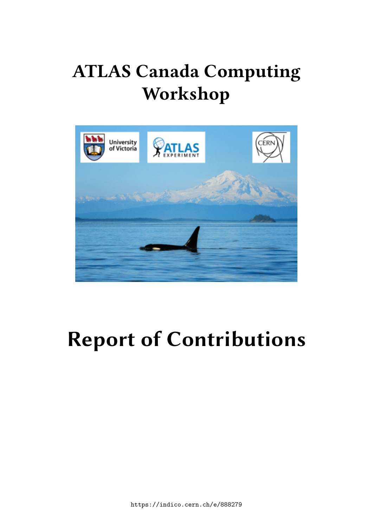## **ATLAS Canada Computing Workshop**



# **Report of Contributions**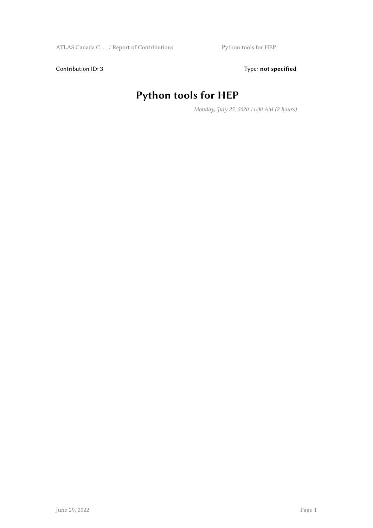Contribution ID: 3 Type: **not specified** 

#### **Python tools for HEP**

*Monday, July 27, 2020 11:00 AM (2 hours)*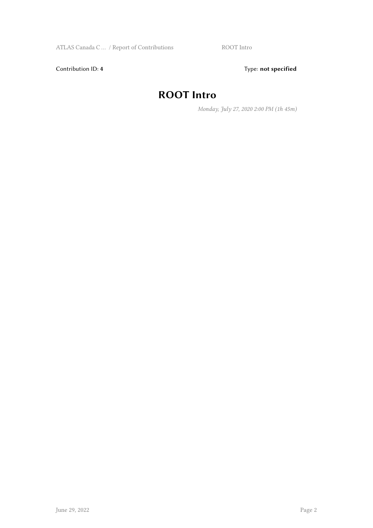Contribution ID: 4 Type: **not specified** 

#### **ROOT Intro**

*Monday, July 27, 2020 2:00 PM (1h 45m)*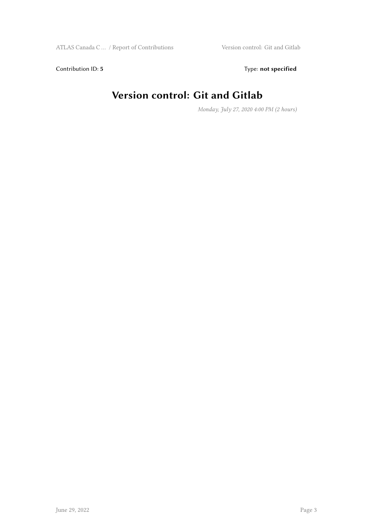Contribution ID: 5 Type: **not specified** 

#### **Version control: Git and Gitlab**

*Monday, July 27, 2020 4:00 PM (2 hours)*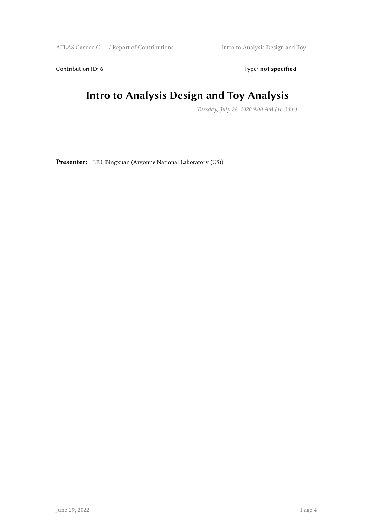Contribution ID: 6 Type: not specified

#### **Intro to Analysis Design and Toy Analysis**

*Tuesday, July 28, 2020 9:00 AM (1h 30m)*

**Presenter:** LIU, Bingxuan (Argonne National Laboratory (US))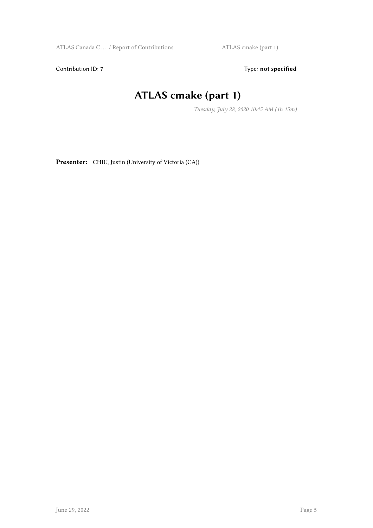Contribution ID: 7 Type: **not specified** 

#### **ATLAS cmake (part 1)**

*Tuesday, July 28, 2020 10:45 AM (1h 15m)*

**Presenter:** CHIU, Justin (University of Victoria (CA))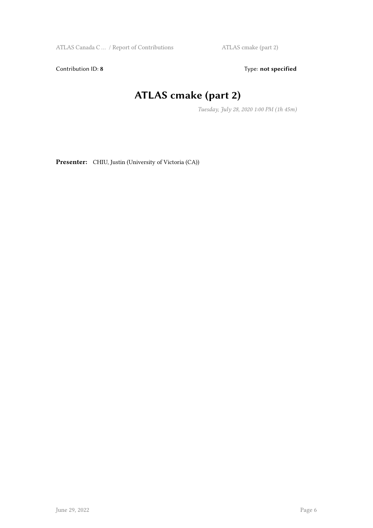Contribution ID: 8 Type: **not specified** 

#### **ATLAS cmake (part 2)**

*Tuesday, July 28, 2020 1:00 PM (1h 45m)*

**Presenter:** CHIU, Justin (University of Victoria (CA))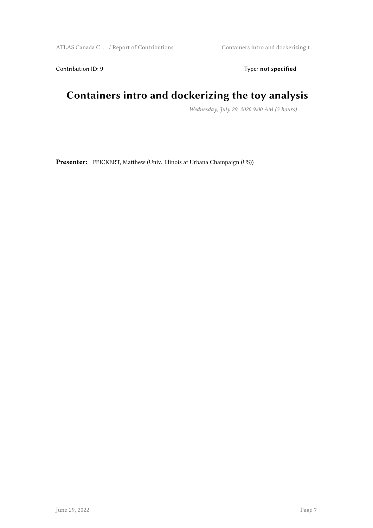Contribution ID: 9 Type: **not specified** 

#### **Containers intro and dockerizing the toy analysis**

*Wednesday, July 29, 2020 9:00 AM (3 hours)*

**Presenter:** FEICKERT, Matthew (Univ. Illinois at Urbana Champaign (US))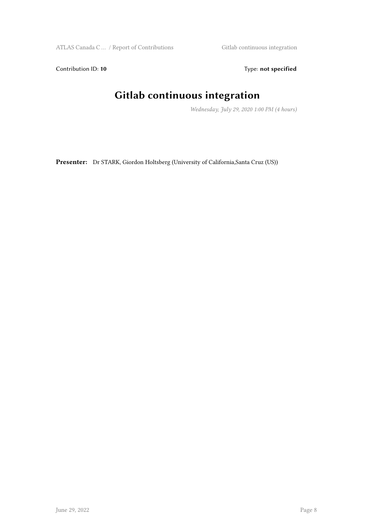Contribution ID: 10 **Type:** not specified

#### **Gitlab continuous integration**

*Wednesday, July 29, 2020 1:00 PM (4 hours)*

**Presenter:** Dr STARK, Giordon Holtsberg (University of California,Santa Cruz (US))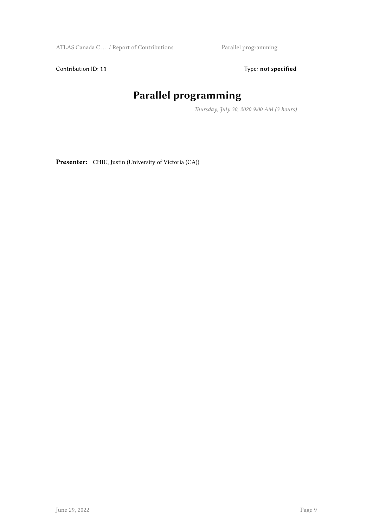Contribution ID: 11 Type: **not specified** 

### **Parallel programming**

*Thursday, July 30, 2020 9:00 AM (3 hours)*

Presenter: CHIU, Justin (University of Victoria (CA))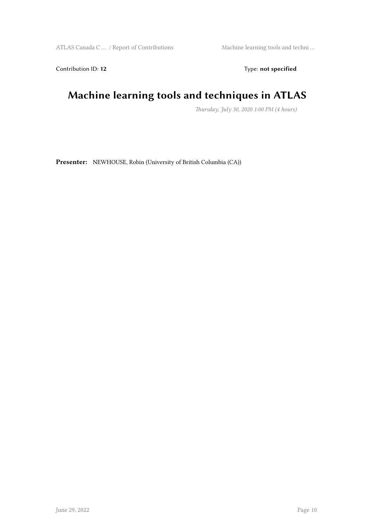Contribution ID: 12 Type: **not specified** 

#### **Machine learning tools and techniques in ATLAS**

*Thursday, July 30, 2020 1:00 PM (4 hours)*

**Presenter:** NEWHOUSE, Robin (University of British Columbia (CA))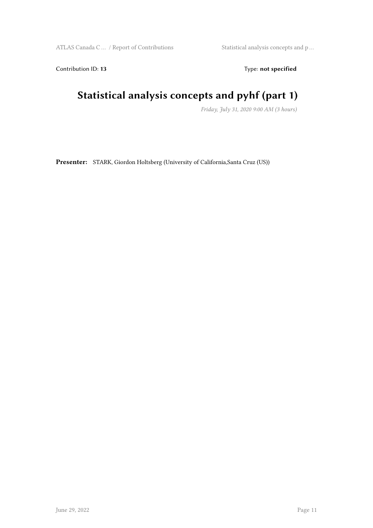Contribution ID: 13 Type: **not specified** 

#### **Statistical analysis concepts and pyhf (part 1)**

*Friday, July 31, 2020 9:00 AM (3 hours)*

**Presenter:** STARK, Giordon Holtsberg (University of California,Santa Cruz (US))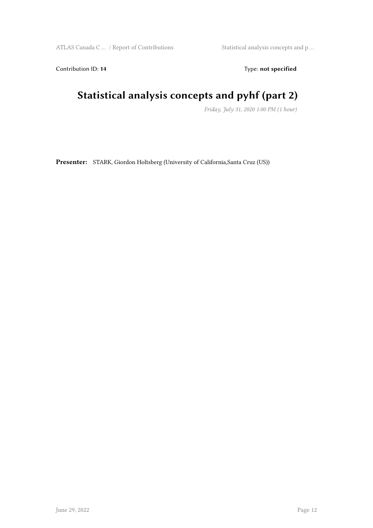Contribution ID: 14 Type: **not specified** 

#### **Statistical analysis concepts and pyhf (part 2)**

*Friday, July 31, 2020 1:00 PM (1 hour)*

**Presenter:** STARK, Giordon Holtsberg (University of California,Santa Cruz (US))